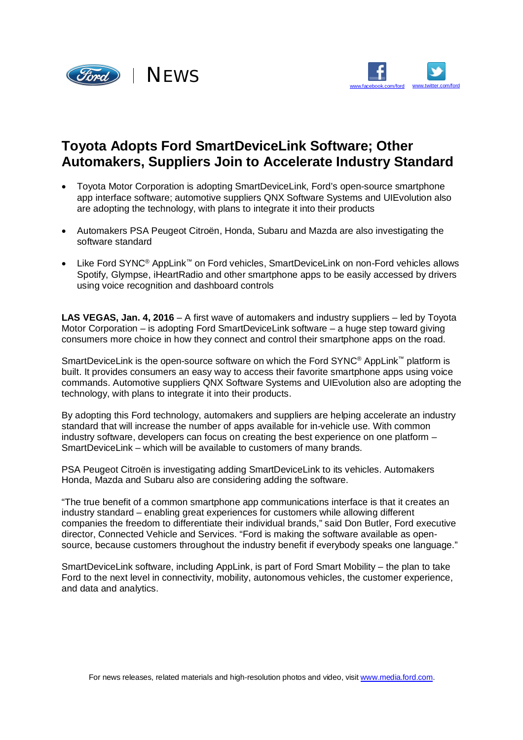



## **Toyota Adopts Ford SmartDeviceLink Software; Other Automakers, Suppliers Join to Accelerate Industry Standard**

- Toyota Motor Corporation is adopting SmartDeviceLink, Ford's open-source smartphone app interface software; automotive suppliers QNX Software Systems and UIEvolution also are adopting the technology, with plans to integrate it into their products
- Automakers PSA Peugeot Citroën, Honda, Subaru and Mazda are also investigating the software standard
- Like Ford SYNC<sup>®</sup> AppLink™ on Ford vehicles, SmartDeviceLink on non-Ford vehicles allows Spotify, Glympse, iHeartRadio and other smartphone apps to be easily accessed by drivers using voice recognition and dashboard controls

**LAS VEGAS, Jan. 4, 2016** – A first wave of automakers and industry suppliers – led by Toyota Motor Corporation – is adopting Ford SmartDeviceLink software – a huge step toward giving consumers more choice in how they connect and control their smartphone apps on the road.

SmartDeviceLink is the open-source software on which the Ford SYNC<sup>®</sup> AppLink™ platform is built. It provides consumers an easy way to access their favorite smartphone apps using voice commands. Automotive suppliers QNX Software Systems and UIEvolution also are adopting the technology, with plans to integrate it into their products.

By adopting this Ford technology, automakers and suppliers are helping accelerate an industry standard that will increase the number of apps available for in-vehicle use. With common industry software, developers can focus on creating the best experience on one platform – SmartDeviceLink – which will be available to customers of many brands.

PSA Peugeot Citroën is investigating adding SmartDeviceLink to its vehicles. Automakers Honda, Mazda and Subaru also are considering adding the software.

"The true benefit of a common smartphone app communications interface is that it creates an industry standard – enabling great experiences for customers while allowing different companies the freedom to differentiate their individual brands," said Don Butler, Ford executive director, Connected Vehicle and Services. "Ford is making the software available as opensource, because customers throughout the industry benefit if everybody speaks one language."

SmartDeviceLink software, including AppLink, is part of Ford Smart Mobility – the plan to take Ford to the next level in connectivity, mobility, autonomous vehicles, the customer experience, and data and analytics.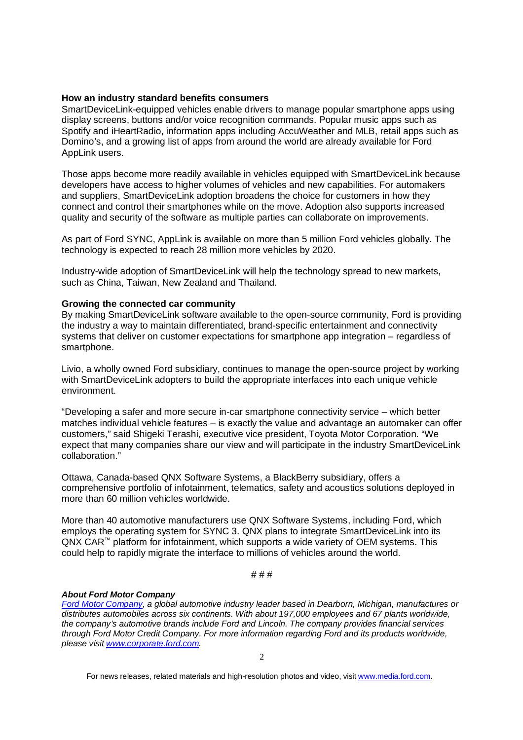## **How an industry standard benefits consumers**

SmartDeviceLink-equipped vehicles enable drivers to manage popular smartphone apps using display screens, buttons and/or voice recognition commands. Popular music apps such as Spotify and iHeartRadio, information apps including AccuWeather and MLB, retail apps such as Domino's, and a growing list of apps from around the world are already available for Ford AppLink users.

Those apps become more readily available in vehicles equipped with SmartDeviceLink because developers have access to higher volumes of vehicles and new capabilities. For automakers and suppliers, SmartDeviceLink adoption broadens the choice for customers in how they connect and control their smartphones while on the move. Adoption also supports increased quality and security of the software as multiple parties can collaborate on improvements.

As part of Ford SYNC, AppLink is available on more than 5 million Ford vehicles globally. The technology is expected to reach 28 million more vehicles by 2020.

Industry-wide adoption of SmartDeviceLink will help the technology spread to new markets, such as China, Taiwan, New Zealand and Thailand.

## **Growing the connected car community**

By making SmartDeviceLink software available to the open-source community, Ford is providing the industry a way to maintain differentiated, brand-specific entertainment and connectivity systems that deliver on customer expectations for smartphone app integration – regardless of smartphone.

Livio, a wholly owned Ford subsidiary, continues to manage the open-source project by working with SmartDeviceLink adopters to build the appropriate interfaces into each unique vehicle environment.

"Developing a safer and more secure in-car smartphone connectivity service – which better matches individual vehicle features – is exactly the value and advantage an automaker can offer customers," said Shigeki Terashi, executive vice president, Toyota Motor Corporation. "We expect that many companies share our view and will participate in the industry SmartDeviceLink collaboration."

Ottawa, Canada-based QNX Software Systems, a BlackBerry subsidiary, offers a comprehensive portfolio of infotainment, telematics, safety and acoustics solutions deployed in more than 60 million vehicles worldwide.

More than 40 automotive manufacturers use QNX Software Systems, including Ford, which employs the operating system for SYNC 3. QNX plans to integrate SmartDeviceLink into its  $Q$ NX CAR<sup>™</sup> platform for infotainment, which supports a wide variety of OEM systems. This could help to rapidly migrate the interface to millions of vehicles around the world.

# # #

## *About Ford Motor Company*

*Ford Motor Company, a global automotive industry leader based in Dearborn, Michigan, manufactures or distributes automobiles across six continents. With about 197,000 employees and 67 plants worldwide, the company's automotive brands include Ford and Lincoln. The company provides financial services through Ford Motor Credit Company. For more information regarding Ford and its products worldwide, please visit [www.corporate.ford.com.](http://www.corporate.ford.com.)*

For news releases, related materials and high-resolution photos and video, visit [www.media.ford.com.](http://www.media.ford.com.)